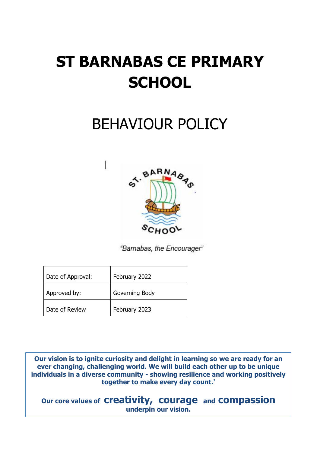# **ST BARNABAS CE PRIMARY SCHOOL**

## BEHAVIOUR POLICY



"Barnabas, the Encourager"

| Date of Approval: | February 2022  |
|-------------------|----------------|
| Approved by:      | Governing Body |
| Date of Review    | February 2023  |

1

**Our vision is to ignite curiosity and delight in learning so we are ready for an ever changing, challenging world. We will build each other up to be unique individuals in a diverse community - showing resilience and working positively together to make every day count.'**

**Our core values of creativity, courage and compassion underpin our vision.**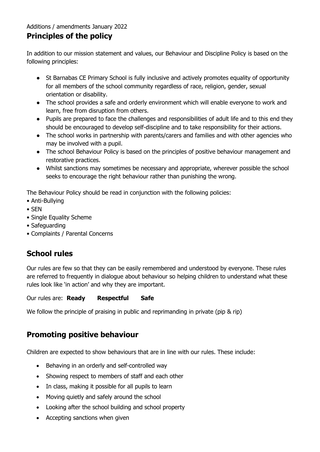#### Additions / amendments January 2022

## **Principles of the policy**

In addition to our mission statement and values, our Behaviour and Discipline Policy is based on the following principles:

- St Barnabas CE Primary School is fully inclusive and actively promotes equality of opportunity for all members of the school community regardless of race, religion, gender, sexual orientation or disability.
- The school provides a safe and orderly environment which will enable everyone to work and learn, free from disruption from others.
- Pupils are prepared to face the challenges and responsibilities of adult life and to this end they should be encouraged to develop self-discipline and to take responsibility for their actions.
- The school works in partnership with parents/carers and families and with other agencies who may be involved with a pupil.
- The school Behaviour Policy is based on the principles of positive behaviour management and restorative practices.
- Whilst sanctions may sometimes be necessary and appropriate, wherever possible the school seeks to encourage the right behaviour rather than punishing the wrong.

The Behaviour Policy should be read in conjunction with the following policies:

- Anti-Bullying
- SEN
- Single Equality Scheme
- Safeguarding
- Complaints / Parental Concerns

## **School rules**

Our rules are few so that they can be easily remembered and understood by everyone. These rules are referred to frequently in dialogue about behaviour so helping children to understand what these rules look like 'in action' and why they are important.

Our rules are: **Ready Respectful Safe** 

We follow the principle of praising in public and reprimanding in private (pip & rip)

## **Promoting positive behaviour**

Children are expected to show behaviours that are in line with our rules. These include:

- Behaving in an orderly and self-controlled way
- Showing respect to members of staff and each other
- In class, making it possible for all pupils to learn
- Moving quietly and safely around the school
- Looking after the school building and school property
- Accepting sanctions when given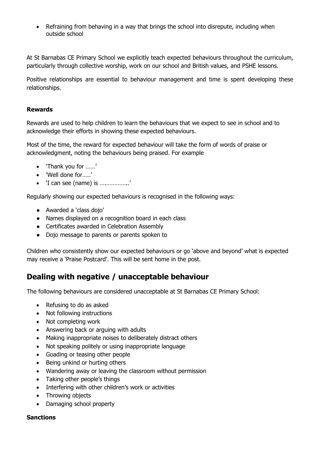• Refraining from behaving in a way that brings the school into disrepute, including when outside school

At St Barnabas CE Primary School we explicitly teach expected behaviours throughout the curriculum, particularly through collective worship, work on our school and British values, and PSHE lessons.

Positive relationships are essential to behaviour management and time is spent developing these relationships.

#### **Rewards**

Rewards are used to help children to learn the behaviours that we expect to see in school and to acknowledge their efforts in showing these expected behaviours.

Most of the time, the reward for expected behaviour will take the form of words of praise or acknowledgment, noting the behaviours being praised. For example

- 'Thank you for ……'
- 'Well done for…..'
- 'I can see (name) is ….…………..'

Regularly showing our expected behaviours is recognised in the following ways:

- Awarded a 'class dojo'
- Names displayed on a recognition board in each class
- Certificates awarded in Celebration Assembly
- Dojo message to parents or parents spoken to

Children who consistently show our expected behaviours or go 'above and beyond' what is expected may receive a 'Praise Postcard'. This will be sent home in the post.

## **Dealing with negative / unacceptable behaviour**

The following behaviours are considered unacceptable at St Barnabas CE Primary School:

- Refusing to do as asked
- Not following instructions
- Not completing work
- Answering back or arguing with adults
- Making inappropriate noises to deliberately distract others
- Not speaking politely or using inappropriate language
- Goading or teasing other people
- Being unkind or hurting others
- Wandering away or leaving the classroom without permission
- Taking other people's things
- Interfering with other children's work or activities
- Throwing objects
- Damaging school property

#### **Sanctions**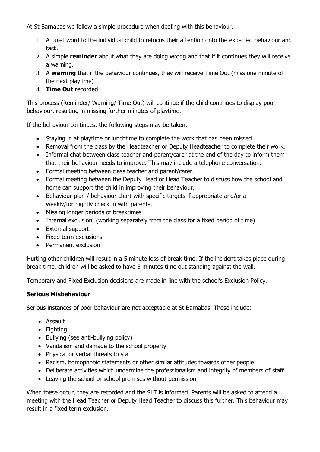At St Barnabas we follow a simple procedure when dealing with this behaviour.

- 1. A quiet word to the individual child to refocus their attention onto the expected behaviour and task.
- 2. A simple **reminder** about what they are doing wrong and that if it continues they will receive a warning.
- 3. A **warning** that if the behaviour continues, they will receive Time Out (miss one minute of the next playtime)
- 4. **Time Out** recorded

This process (Reminder/ Warning/ Time Out) will continue if the child continues to display poor behaviour, resulting in missing further minutes of playtime.

If the behaviour continues, the following steps may be taken:

- Staying in at playtime or lunchtime to complete the work that has been missed
- Removal from the class by the Headteacher or Deputy Headteacher to complete their work.
- Informal chat between class teacher and parent/carer at the end of the day to inform them that their behaviour needs to improve. This may include a telephone conversation.
- Formal meeting between class teacher and parent/carer.
- Formal meeting between the Deputy Head or Head Teacher to discuss how the school and home can support the child in improving their behaviour.
- Behaviour plan / behaviour chart with specific targets if appropriate and/or a weekly/fortnightly check in with parents.
- Missing longer periods of breaktimes
- Internal exclusion (working separately from the class for a fixed period of time)
- External support
- Fixed term exclusions
- **•** Permanent exclusion

Hurting other children will result in a 5 minute loss of break time. If the incident takes place during break time, children will be asked to have 5 minutes time out standing against the wall.

Temporary and Fixed Exclusion decisions are made in line with the school's Exclusion Policy.

#### **Serious Misbehaviour**

Serious instances of poor behaviour are not acceptable at St Barnabas. These include:

- Assault
- Fighting
- Bullying (see anti-bullying policy)
- Vandalism and damage to the school property
- Physical or verbal threats to staff
- Racism, homophobic statements or other similar attitudes towards other people
- Deliberate activities which undermine the professionalism and integrity of members of staff
- Leaving the school or school premises without permission

When these occur, they are recorded and the SLT is informed. Parents will be asked to attend a meeting with the Head Teacher or Deputy Head Teacher to discuss this further. This behaviour may result in a fixed term exclusion.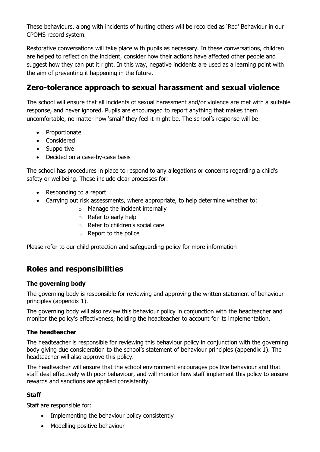These behaviours, along with incidents of hurting others will be recorded as 'Red' Behaviour in our CPOMS record system.

Restorative conversations will take place with pupils as necessary. In these conversations, children are helped to reflect on the incident, consider how their actions have affected other people and suggest how they can put it right. In this way, negative incidents are used as a learning point with the aim of preventing it happening in the future.

## **Zero-tolerance approach to sexual harassment and sexual violence**

The school will ensure that all incidents of sexual harassment and/or violence are met with a suitable response, and never ignored. Pupils are encouraged to report anything that makes them uncomfortable, no matter how 'small' they feel it might be. The school's response will be:

- Proportionate
- Considered
- Supportive
- Decided on a case-by-case basis

The school has procedures in place to respond to any allegations or concerns regarding a child's safety or wellbeing. These include clear processes for:

- Responding to a report
- Carrying out risk assessments, where appropriate, to help determine whether to:
	- $\circ$  Manage the incident internally
	- o Refer to early help
	- o Refer to children's social care
	- o Report to the police

Please refer to our child protection and safeguarding policy for more information

## **Roles and responsibilities**

#### **The governing body**

The governing body is responsible for reviewing and approving the written statement of behaviour principles (appendix 1).

The governing body will also review this behaviour policy in conjunction with the headteacher and monitor the policy's effectiveness, holding the headteacher to account for its implementation.

#### **The headteacher**

The headteacher is responsible for reviewing this behaviour policy in conjunction with the governing body giving due consideration to the school's statement of behaviour principles (appendix 1). The headteacher will also approve this policy.

The headteacher will ensure that the school environment encourages positive behaviour and that staff deal effectively with poor behaviour, and will monitor how staff implement this policy to ensure rewards and sanctions are applied consistently.

#### **Staff**

Staff are responsible for:

- Implementing the behaviour policy consistently
- Modelling positive behaviour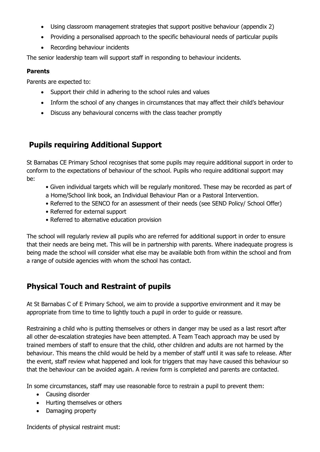- Using classroom management strategies that support positive behaviour (appendix 2)
- Providing a personalised approach to the specific behavioural needs of particular pupils
- Recording behaviour incidents

The senior leadership team will support staff in responding to behaviour incidents.

#### **Parents**

Parents are expected to:

- Support their child in adhering to the school rules and values
- Inform the school of any changes in circumstances that may affect their child's behaviour
- Discuss any behavioural concerns with the class teacher promptly

## **Pupils requiring Additional Support**

St Barnabas CE Primary School recognises that some pupils may require additional support in order to conform to the expectations of behaviour of the school. Pupils who require additional support may be:

- Given individual targets which will be regularly monitored. These may be recorded as part of a Home/School link book, an Individual Behaviour Plan or a Pastoral Intervention.
- Referred to the SENCO for an assessment of their needs (see SEND Policy/ School Offer)
- Referred for external support
- Referred to alternative education provision

The school will regularly review all pupils who are referred for additional support in order to ensure that their needs are being met. This will be in partnership with parents. Where inadequate progress is being made the school will consider what else may be available both from within the school and from a range of outside agencies with whom the school has contact.

## **Physical Touch and Restraint of pupils**

At St Barnabas C of E Primary School, we aim to provide a supportive environment and it may be appropriate from time to time to lightly touch a pupil in order to guide or reassure.

Restraining a child who is putting themselves or others in danger may be used as a last resort after all other de-escalation strategies have been attempted. A Team Teach approach may be used by trained members of staff to ensure that the child, other children and adults are not harmed by the behaviour. This means the child would be held by a member of staff until it was safe to release. After the event, staff review what happened and look for triggers that may have caused this behaviour so that the behaviour can be avoided again. A review form is completed and parents are contacted.

In some circumstances, staff may use reasonable force to restrain a pupil to prevent them:

- Causing disorder
- Hurting themselves or others
- Damaging property

Incidents of physical restraint must: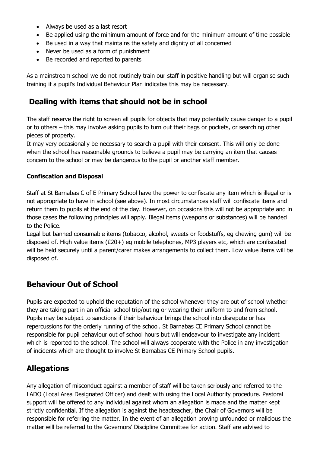- Always be used as a last resort
- Be applied using the minimum amount of force and for the minimum amount of time possible
- Be used in a way that maintains the safety and dignity of all concerned
- Never be used as a form of punishment
- Be recorded and reported to parents

As a mainstream school we do not routinely train our staff in positive handling but will organise such training if a pupil's Individual Behaviour Plan indicates this may be necessary.

## **Dealing with items that should not be in school**

The staff reserve the right to screen all pupils for objects that may potentially cause danger to a pupil or to others – this may involve asking pupils to turn out their bags or pockets, or searching other pieces of property.

It may very occasionally be necessary to search a pupil with their consent. This will only be done when the school has reasonable grounds to believe a pupil may be carrying an item that causes concern to the school or may be dangerous to the pupil or another staff member.

#### **Confiscation and Disposal**

Staff at St Barnabas C of E Primary School have the power to confiscate any item which is illegal or is not appropriate to have in school (see above). In most circumstances staff will confiscate items and return them to pupils at the end of the day. However, on occasions this will not be appropriate and in those cases the following principles will apply. Illegal items (weapons or substances) will be handed to the Police.

Legal but banned consumable items (tobacco, alcohol, sweets or foodstuffs, eg chewing gum) will be disposed of. High value items (£20+) eg mobile telephones, MP3 players etc, which are confiscated will be held securely until a parent/carer makes arrangements to collect them. Low value items will be disposed of.

## **Behaviour Out of School**

Pupils are expected to uphold the reputation of the school whenever they are out of school whether they are taking part in an official school trip/outing or wearing their uniform to and from school. Pupils may be subject to sanctions if their behaviour brings the school into disrepute or has repercussions for the orderly running of the school. St Barnabas CE Primary School cannot be responsible for pupil behaviour out of school hours but will endeavour to investigate any incident which is reported to the school. The school will always cooperate with the Police in any investigation of incidents which are thought to involve St Barnabas CE Primary School pupils.

## **Allegations**

Any allegation of misconduct against a member of staff will be taken seriously and referred to the LADO (Local Area Designated Officer) and dealt with using the Local Authority procedure. Pastoral support will be offered to any individual against whom an allegation is made and the matter kept strictly confidential. If the allegation is against the headteacher, the Chair of Governors will be responsible for referring the matter. In the event of an allegation proving unfounded or malicious the matter will be referred to the Governors' Discipline Committee for action. Staff are advised to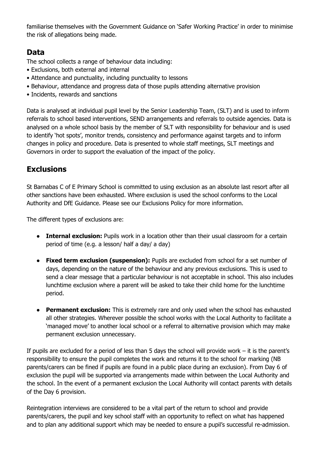familiarise themselves with the Government Guidance on 'Safer Working Practice' in order to minimise the risk of allegations being made.

## **Data**

The school collects a range of behaviour data including:

- Exclusions, both external and internal
- Attendance and punctuality, including punctuality to lessons
- Behaviour, attendance and progress data of those pupils attending alternative provision
- Incidents, rewards and sanctions

Data is analysed at individual pupil level by the Senior Leadership Team, (SLT) and is used to inform referrals to school based interventions, SEND arrangements and referrals to outside agencies. Data is analysed on a whole school basis by the member of SLT with responsibility for behaviour and is used to identify 'hot spots', monitor trends, consistency and performance against targets and to inform changes in policy and procedure. Data is presented to whole staff meetings, SLT meetings and Governors in order to support the evaluation of the impact of the policy.

## **Exclusions**

St Barnabas C of E Primary School is committed to using exclusion as an absolute last resort after all other sanctions have been exhausted. Where exclusion is used the school conforms to the Local Authority and DfE Guidance. Please see our Exclusions Policy for more information.

The different types of exclusions are:

- **Internal exclusion:** Pupils work in a location other than their usual classroom for a certain period of time (e.g. a lesson/ half a day/ a day)
- **Fixed term exclusion (suspension):** Pupils are excluded from school for a set number of days, depending on the nature of the behaviour and any previous exclusions. This is used to send a clear message that a particular behaviour is not acceptable in school. This also includes lunchtime exclusion where a parent will be asked to take their child home for the lunchtime period.
- **Permanent exclusion:** This is extremely rare and only used when the school has exhausted all other strategies. Wherever possible the school works with the Local Authority to facilitate a 'managed move' to another local school or a referral to alternative provision which may make permanent exclusion unnecessary.

If pupils are excluded for a period of less than 5 days the school will provide work – it is the parent's responsibility to ensure the pupil completes the work and returns it to the school for marking (NB parents/carers can be fined if pupils are found in a public place during an exclusion). From Day 6 of exclusion the pupil will be supported via arrangements made within between the Local Authority and the school. In the event of a permanent exclusion the Local Authority will contact parents with details of the Day 6 provision.

Reintegration interviews are considered to be a vital part of the return to school and provide parents/carers, the pupil and key school staff with an opportunity to reflect on what has happened and to plan any additional support which may be needed to ensure a pupil's successful re-admission.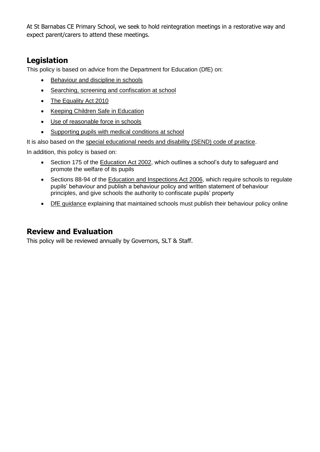At St Barnabas CE Primary School, we seek to hold reintegration meetings in a restorative way and expect parent/carers to attend these meetings.

## **Legislation**

This policy is based on advice from the Department for Education (DfE) on:

- [Behaviour and discipline in schools](https://www.gov.uk/government/publications/behaviour-and-discipline-in-schools)
- [Searching, screening and confiscation at school](https://www.gov.uk/government/publications/searching-screening-and-confiscation)
- [The Equality Act 2010](https://www.gov.uk/government/publications/equality-act-2010-advice-for-schools)
- [Keeping Children Safe in Education](https://www.gov.uk/government/publications/keeping-children-safe-in-education--2)
- [Use of reasonable force in schools](https://www.gov.uk/government/publications/use-of-reasonable-force-in-schools)
- [Supporting pupils with medical conditions at school](https://www.gov.uk/government/publications/supporting-pupils-at-school-with-medical-conditions--3)

It is also based on the [special educational needs and disability \(SEND\) code of practice.](https://www.gov.uk/government/publications/send-code-of-practice-0-to-25)

In addition, this policy is based on:

- Section 175 of the [Education Act 2002,](http://www.legislation.gov.uk/ukpga/2002/32/section/175) which outlines a school's duty to safeguard and promote the welfare of its pupils
- Sections 88-94 of the [Education and Inspections Act 2006,](http://www.legislation.gov.uk/ukpga/2006/40/section/88) which require schools to regulate pupils' behaviour and publish a behaviour policy and written statement of behaviour principles, and give schools the authority to confiscate pupils' property
- [DfE guidance](https://www.gov.uk/guidance/what-maintained-schools-must-publish-online#behaviour-policy) explaining that maintained schools must publish their behaviour policy online

## **Review and Evaluation**

This policy will be reviewed annually by Governors, SLT & Staff.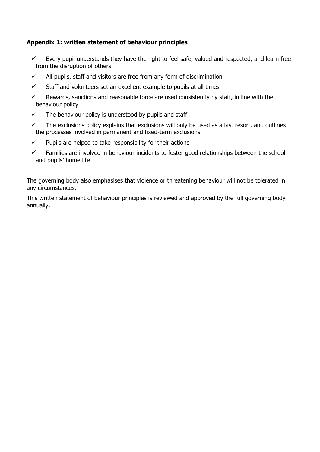#### **Appendix 1: written statement of behaviour principles**

- $\checkmark$  Every pupil understands they have the right to feel safe, valued and respected, and learn free from the disruption of others
- $\checkmark$  All pupils, staff and visitors are free from any form of discrimination
- $\checkmark$  Staff and volunteers set an excellent example to pupils at all times
- $\checkmark$  Rewards, sanctions and reasonable force are used consistently by staff, in line with the behaviour policy
- $\checkmark$  The behaviour policy is understood by pupils and staff
- $\checkmark$  The exclusions policy explains that exclusions will only be used as a last resort, and outlines the processes involved in permanent and fixed-term exclusions
- $\checkmark$  Pupils are helped to take responsibility for their actions
- $\checkmark$  Families are involved in behaviour incidents to foster good relationships between the school and pupils' home life

The governing body also emphasises that violence or threatening behaviour will not be tolerated in any circumstances.

This written statement of behaviour principles is reviewed and approved by the full governing body annually.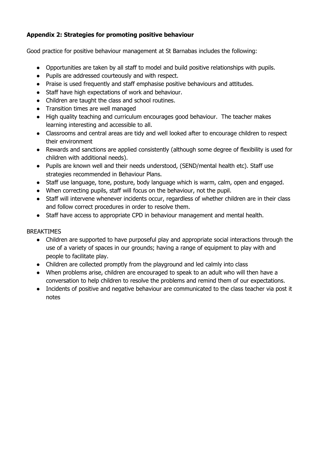#### **Appendix 2: Strategies for promoting positive behaviour**

Good practice for positive behaviour management at St Barnabas includes the following:

- Opportunities are taken by all staff to model and build positive relationships with pupils.
- Pupils are addressed courteously and with respect.
- Praise is used frequently and staff emphasise positive behaviours and attitudes.
- Staff have high expectations of work and behaviour.
- Children are taught the class and school routines.
- Transition times are well managed
- High quality teaching and curriculum encourages good behaviour. The teacher makes learning interesting and accessible to all.
- Classrooms and central areas are tidy and well looked after to encourage children to respect their environment
- Rewards and sanctions are applied consistently (although some degree of flexibility is used for children with additional needs).
- Pupils are known well and their needs understood, (SEND/mental health etc). Staff use strategies recommended in Behaviour Plans.
- Staff use language, tone, posture, body language which is warm, calm, open and engaged.
- When correcting pupils, staff will focus on the behaviour, not the pupil.
- Staff will intervene whenever incidents occur, regardless of whether children are in their class and follow correct procedures in order to resolve them.
- Staff have access to appropriate CPD in behaviour management and mental health.

#### BREAKTIMES

- Children are supported to have purposeful play and appropriate social interactions through the use of a variety of spaces in our grounds; having a range of equipment to play with and people to facilitate play.
- Children are collected promptly from the playground and led calmly into class
- When problems arise, children are encouraged to speak to an adult who will then have a conversation to help children to resolve the problems and remind them of our expectations.
- Incidents of positive and negative behaviour are communicated to the class teacher via post it notes